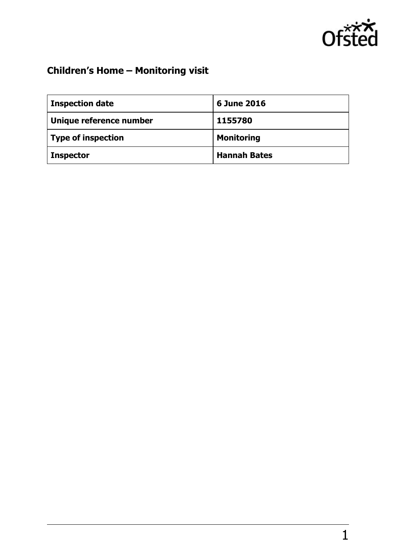

# **Children's Home – Monitoring visit**

| <b>Inspection date</b>    | <b>6 June 2016</b>  |
|---------------------------|---------------------|
| Unique reference number   | 1155780             |
| <b>Type of inspection</b> | <b>Monitoring</b>   |
| <b>Inspector</b>          | <b>Hannah Bates</b> |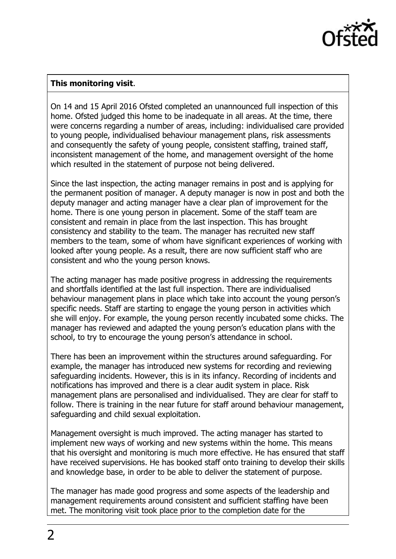

### **This monitoring visit**.

On 14 and 15 April 2016 Ofsted completed an unannounced full inspection of this home. Ofsted judged this home to be inadequate in all areas. At the time, there were concerns regarding a number of areas, including: individualised care provided to young people, individualised behaviour management plans, risk assessments and consequently the safety of young people, consistent staffing, trained staff, inconsistent management of the home, and management oversight of the home which resulted in the statement of purpose not being delivered.

Since the last inspection, the acting manager remains in post and is applying for the permanent position of manager. A deputy manager is now in post and both the deputy manager and acting manager have a clear plan of improvement for the home. There is one young person in placement. Some of the staff team are consistent and remain in place from the last inspection. This has brought consistency and stability to the team. The manager has recruited new staff members to the team, some of whom have significant experiences of working with looked after young people. As a result, there are now sufficient staff who are consistent and who the young person knows.

The acting manager has made positive progress in addressing the requirements and shortfalls identified at the last full inspection. There are individualised behaviour management plans in place which take into account the young person's specific needs. Staff are starting to engage the young person in activities which she will enjoy. For example, the young person recently incubated some chicks. The manager has reviewed and adapted the young person's education plans with the school, to try to encourage the young person's attendance in school.

There has been an improvement within the structures around safeguarding. For example, the manager has introduced new systems for recording and reviewing safeguarding incidents. However, this is in its infancy. Recording of incidents and notifications has improved and there is a clear audit system in place. Risk management plans are personalised and individualised. They are clear for staff to follow. There is training in the near future for staff around behaviour management, safeguarding and child sexual exploitation.

Management oversight is much improved. The acting manager has started to implement new ways of working and new systems within the home. This means that his oversight and monitoring is much more effective. He has ensured that staff have received supervisions. He has booked staff onto training to develop their skills and knowledge base, in order to be able to deliver the statement of purpose.

The manager has made good progress and some aspects of the leadership and management requirements around consistent and sufficient staffing have been met. The monitoring visit took place prior to the completion date for the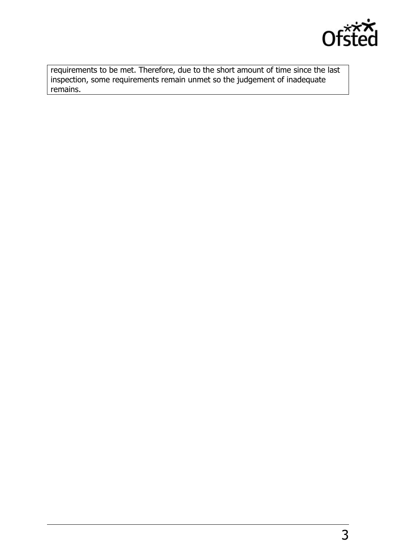

requirements to be met. Therefore, due to the short amount of time since the last inspection, some requirements remain unmet so the judgement of inadequate remains.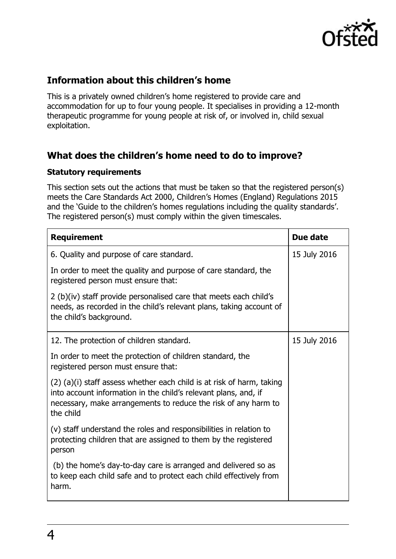

## **Information about this children's home**

This is a privately owned children's home registered to provide care and accommodation for up to four young people. It specialises in providing a 12-month therapeutic programme for young people at risk of, or involved in, child sexual exploitation.

## **What does the children's home need to do to improve?**

#### **Statutory requirements**

This section sets out the actions that must be taken so that the registered person(s) meets the Care Standards Act 2000, Children's Homes (England) Regulations 2015 and the 'Guide to the children's homes regulations including the quality standards'. The registered person(s) must comply within the given timescales.

| <b>Requirement</b>                                                                                                                                                                                                        | Due date     |
|---------------------------------------------------------------------------------------------------------------------------------------------------------------------------------------------------------------------------|--------------|
| 6. Quality and purpose of care standard.                                                                                                                                                                                  | 15 July 2016 |
| In order to meet the quality and purpose of care standard, the<br>registered person must ensure that:                                                                                                                     |              |
| 2 (b)(iv) staff provide personalised care that meets each child's<br>needs, as recorded in the child's relevant plans, taking account of<br>the child's background.                                                       |              |
| 12. The protection of children standard.                                                                                                                                                                                  | 15 July 2016 |
| In order to meet the protection of children standard, the<br>registered person must ensure that:                                                                                                                          |              |
| $(2)$ (a)(i) staff assess whether each child is at risk of harm, taking<br>into account information in the child's relevant plans, and, if<br>necessary, make arrangements to reduce the risk of any harm to<br>the child |              |
| (v) staff understand the roles and responsibilities in relation to<br>protecting children that are assigned to them by the registered<br>person                                                                           |              |
| (b) the home's day-to-day care is arranged and delivered so as<br>to keep each child safe and to protect each child effectively from<br>harm.                                                                             |              |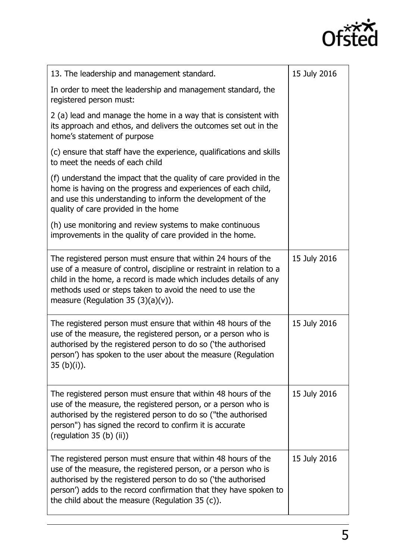

| 13. The leadership and management standard.                                                                                                                                                                                                                                                                              | 15 July 2016 |
|--------------------------------------------------------------------------------------------------------------------------------------------------------------------------------------------------------------------------------------------------------------------------------------------------------------------------|--------------|
| In order to meet the leadership and management standard, the<br>registered person must:                                                                                                                                                                                                                                  |              |
| 2 (a) lead and manage the home in a way that is consistent with<br>its approach and ethos, and delivers the outcomes set out in the<br>home's statement of purpose                                                                                                                                                       |              |
| (c) ensure that staff have the experience, qualifications and skills<br>to meet the needs of each child                                                                                                                                                                                                                  |              |
| (f) understand the impact that the quality of care provided in the<br>home is having on the progress and experiences of each child,<br>and use this understanding to inform the development of the<br>quality of care provided in the home                                                                               |              |
| (h) use monitoring and review systems to make continuous<br>improvements in the quality of care provided in the home.                                                                                                                                                                                                    |              |
| The registered person must ensure that within 24 hours of the<br>use of a measure of control, discipline or restraint in relation to a<br>child in the home, a record is made which includes details of any<br>methods used or steps taken to avoid the need to use the<br>measure (Regulation 35 $(3)(a)(v)$ ).         | 15 July 2016 |
| The registered person must ensure that within 48 hours of the<br>use of the measure, the registered person, or a person who is<br>authorised by the registered person to do so ('the authorised<br>person') has spoken to the user about the measure (Regulation<br>35 (b)(i)).                                          | 15 July 2016 |
| The registered person must ensure that within 48 hours of the<br>use of the measure, the registered person, or a person who is<br>authorised by the registered person to do so ("the authorised<br>person") has signed the record to confirm it is accurate<br>(regulation $35$ (b) (ii))                                | 15 July 2016 |
| The registered person must ensure that within 48 hours of the<br>use of the measure, the registered person, or a person who is<br>authorised by the registered person to do so ('the authorised<br>person') adds to the record confirmation that they have spoken to<br>the child about the measure (Regulation 35 (c)). | 15 July 2016 |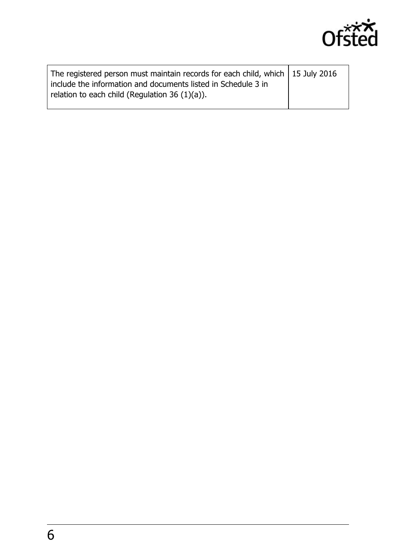

| The registered person must maintain records for each child, which   15 July 2016                                   |  |
|--------------------------------------------------------------------------------------------------------------------|--|
| include the information and documents listed in Schedule 3 in<br>relation to each child (Regulation 36 $(1)(a)$ ). |  |
|                                                                                                                    |  |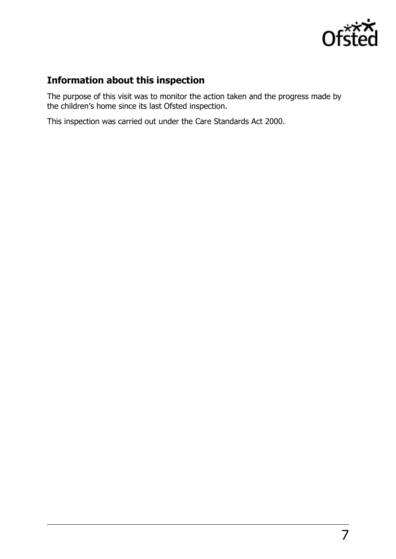

# **Information about this inspection**

The purpose of this visit was to monitor the action taken and the progress made by the children's home since its last Ofsted inspection.

This inspection was carried out under the Care Standards Act 2000.